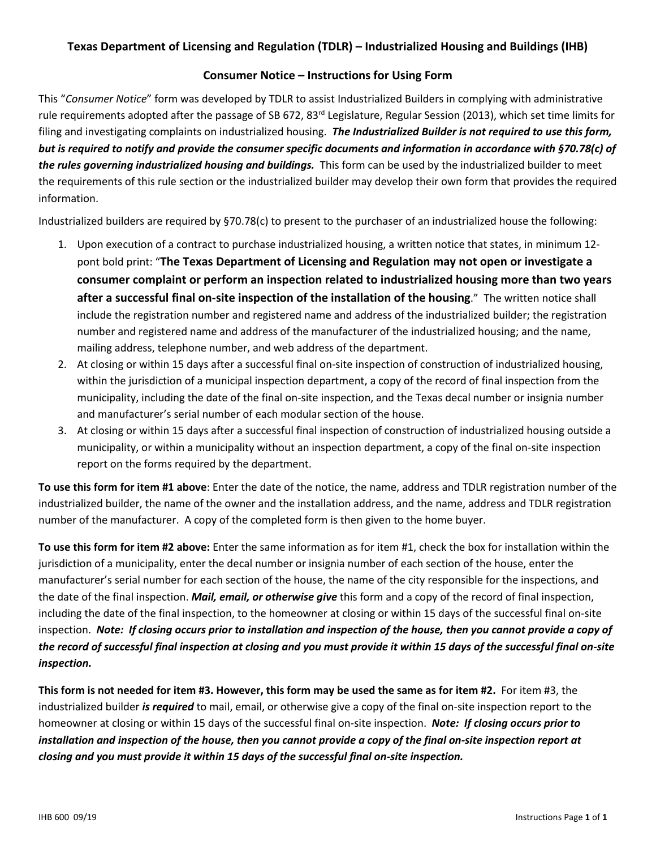### **Texas Department of Licensing and Regulation (TDLR) – Industrialized Housing and Buildings (IHB)**

### **Consumer Notice – Instructions for Using Form**

This "*Consumer Notice*" form was developed by TDLR to assist Industrialized Builders in complying with administrative rule requirements adopted after the passage of SB 672, 83<sup>rd</sup> Legislature, Regular Session (2013), which set time limits for filing and investigating complaints on industrialized housing. *The Industrialized Builder is not required to use this form, but is required to notify and provide the consumer specific documents and information in accordance with §70.78(c) of the rules governing industrialized housing and buildings.* This form can be used by the industrialized builder to meet the requirements of this rule section or the industrialized builder may develop their own form that provides the required information.

Industrialized builders are required by §70.78(c) to present to the purchaser of an industrialized house the following:

- 1. Upon execution of a contract to purchase industrialized housing, a written notice that states, in minimum 12 pont bold print: "**The Texas Department of Licensing and Regulation may not open or investigate a consumer complaint or perform an inspection related to industrialized housing more than two years after a successful final on-site inspection of the installation of the housing**." The written notice shall include the registration number and registered name and address of the industrialized builder; the registration number and registered name and address of the manufacturer of the industrialized housing; and the name, mailing address, telephone number, and web address of the department.
- 2. At closing or within 15 days after a successful final on-site inspection of construction of industrialized housing, within the jurisdiction of a municipal inspection department, a copy of the record of final inspection from the municipality, including the date of the final on-site inspection, and the Texas decal number or insignia number and manufacturer's serial number of each modular section of the house.
- 3. At closing or within 15 days after a successful final inspection of construction of industrialized housing outside a municipality, or within a municipality without an inspection department, a copy of the final on-site inspection report on the forms required by the department.

**To use this form for item #1 above**: Enter the date of the notice, the name, address and TDLR registration number of the industrialized builder, the name of the owner and the installation address, and the name, address and TDLR registration number of the manufacturer. A copy of the completed form is then given to the home buyer.

**To use this form for item #2 above:** Enter the same information as for item #1, check the box for installation within the jurisdiction of a municipality, enter the decal number or insignia number of each section of the house, enter the manufacturer's serial number for each section of the house, the name of the city responsible for the inspections, and the date of the final inspection. *Mail, email, or otherwise give* this form and a copy of the record of final inspection, including the date of the final inspection, to the homeowner at closing or within 15 days of the successful final on-site inspection. *Note: If closing occurs prior to installation and inspection of the house, then you cannot provide a copy of the record of successful final inspection at closing and you must provide it within 15 days of the successful final on-site inspection.* 

**This form is not needed for item #3. However, this form may be used the same as for item #2.** For item #3, the industrialized builder *is required* to mail, email, or otherwise give a copy of the final on-site inspection report to the homeowner at closing or within 15 days of the successful final on-site inspection. *Note: If closing occurs prior to installation and inspection of the house, then you cannot provide a copy of the final on-site inspection report at closing and you must provide it within 15 days of the successful final on-site inspection.*